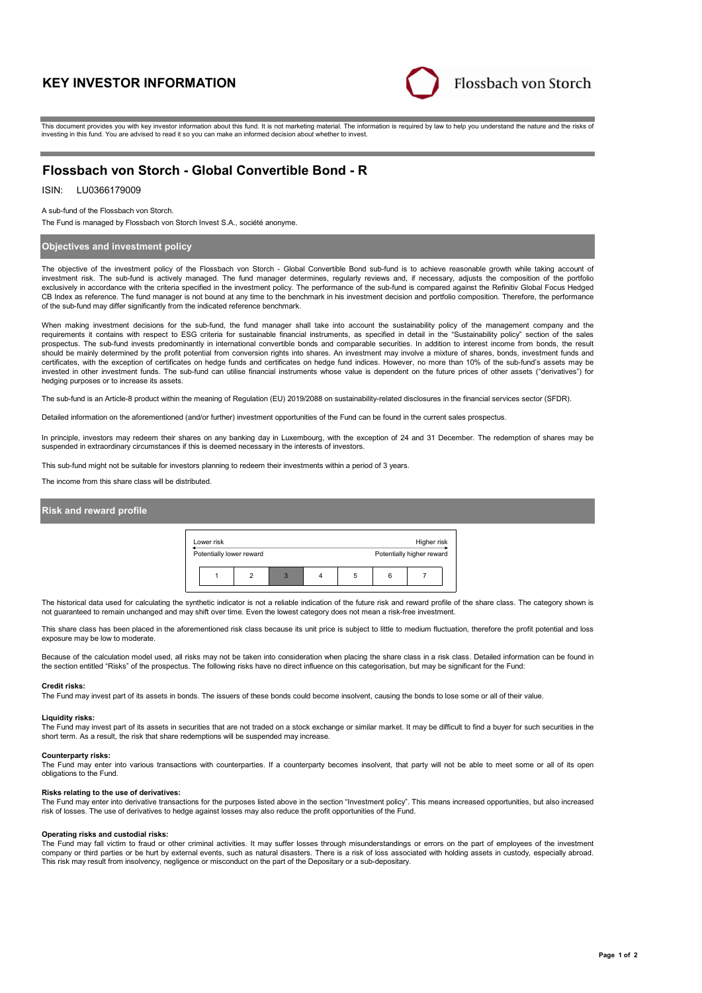# **KEY INVESTOR INFORMATION**



This document provides you with key investor information about this fund. It is not marketing material. The information is required by law to help you understand the nature and the risks of investing in this fund. You are advised to read it so you can make an informed decision about whether to invest.

## **Flossbach von Storch - Global Convertible Bond - R**

## ISIN: LU0366179009

A sub-fund of the Flossbach von Storch.

The Fund is managed by Flossbach von Storch Invest S.A., société anonyme.

### **Objectives and investment policy**

The objective of the investment policy of the Flossbach von Storch - Global Convertible Bond sub-fund is to achieve reasonable growth while taking account of investment risk. The sub-fund is actively managed. The fund manager determines, regularly reviews and, if necessary, adjusts the composition of the portfolio exclusively in accordance with the criteria specified in the investment policy. The performance of the sub-fund is compared against the Refinitiv Global Focus Hedged CB Index as reference. The fund manager is not bound at any time to the benchmark in his investment decision and portfolio composition. Therefore, the performance of the sub-fund may differ significantly from the indicated reference benchmark.

When making investment decisions for the sub-fund, the fund manager shall take into account the sustainability policy of the management company and the requirements it contains with respect to ESG criteria for sustainable financial instruments, as specified in detail in the "Sustainability policy" section of the sales prospectus. The sub-fund invests predominantly in international convertible bonds and comparable securities. In addition to interest income from bonds, the result should be mainly determined by the profit potential from conversion rights into shares. An investment may involve a mixture of shares, bonds, investment funds and certificates, with the exception of certificates on hedge funds and certificates on hedge fund indices. However, no more than 10% of the sub-fund's assets may be<br>invested in other investment funds. The sub-fund can utilise hedging purposes or to increase its assets.

The sub-fund is an Article-8 product within the meaning of Regulation (EU) 2019/2088 on sustainability-related disclosures in the financial services sector (SFDR).

Detailed information on the aforementioned (and/or further) investment opportunities of the Fund can be found in the current sales prospectus.

In principle, investors may redeem their shares on any banking day in Luxembourg, with the exception of 24 and 31 December. The redemption of shares may be suspended in extraordinary circumstances if this is deemed necessary in the interests of investors.

This sub-fund might not be suitable for investors planning to redeem their investments within a period of 3 years.

The income from this share class will be distributed.

### **Risk and reward profile**



The historical data used for calculating the synthetic indicator is not a reliable indication of the future risk and reward profile of the share class. The category shown is not guaranteed to remain unchanged and may shift over time. Even the lowest category does not mean a risk-free investment.

This share class has been placed in the aforementioned risk class because its unit price is subject to little to medium fluctuation, therefore the profit potential and loss exposure may be low to moderate.

Because of the calculation model used, all risks may not be taken into consideration when placing the share class in a risk class. Detailed information can be found in<br>the section entitled "Risks" of the prospectus. The fo

#### **Credit risks:**

The Fund may invest part of its assets in bonds. The issuers of these bonds could become insolvent, causing the bonds to lose some or all of their value.

#### **Liquidity risks:**

The Fund may invest part of its assets in securities that are not traded on a stock exchange or similar market. It may be difficult to find a buyer for such securities in the short term. As a result, the risk that share redemptions will be suspended may increase.

#### **Counterparty risks:**

The Fund may enter into various transactions with counterparties. If a counterparty becomes insolvent, that party will not be able to meet some or all of its open obligations to the Fund.

#### **Risks relating to the use of derivatives:**

The Fund may enter into derivative transactions for the purposes listed above in the section "Investment policy". This means increased opportunities, but also increased risk of losses. The use of derivatives to hedge against losses may also reduce the profit opportunities of the Fund.

#### **Operating risks and custodial risks:**

The Fund may fall victim to fraud or other criminal activities. It may suffer losses through misunderstandings or errors on the part of employees of the investment company or third parties or be hurt by external events, such as natural disasters. There is a risk of loss associated with holding assets in custody, especially abroad. This risk may result from insolvency, negligence or misconduct on the part of the Depositary or a sub-depositary.